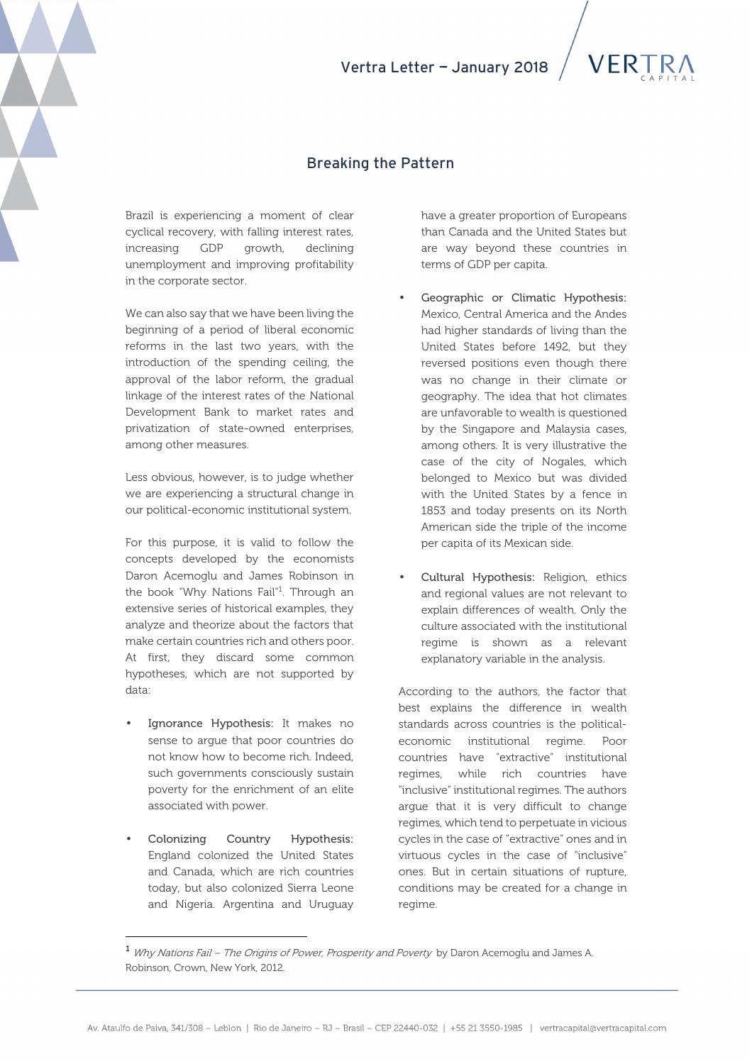# Vertra Letter - January 2018

### Breaking the Pattern

Brazil is experiencing a moment of clear cyclical recovery, with falling interest rates, increasing GDP growth, declining unemployment and improving profitability in the corporate sector.

We can also say that we have been living the beginning of a period of liberal economic reforms in the last two years, with the introduction of the spending ceiling, the approval of the labor reform, the gradual linkage of the interest rates of the National Development Bank to market rates and privatization of state-owned enterprises, among other measures.

Less obvious, however, is to judge whether we are experiencing a structural change in our political-economic institutional system.

For this purpose, it is valid to follow the concepts developed by the economists Daron Acemoglu and James Robinson in the book "Why Nations Fail"<sup>1</sup>. Through an extensive series of historical examples, they analyze and theorize about the factors that make certain countries rich and others poor. At first, they discard some common hypotheses, which are not supported by data:

- Ignorance Hypothesis: It makes no sense to argue that poor countries do not know how to become rich. Indeed, such governments consciously sustain poverty for the enrichment of an elite associated with power.
- Colonizing Country Hypothesis: England colonized the United States and Canada, which are rich countries today, but also colonized Sierra Leone and Nigeria. Argentina and Uruguay

l

have a greater proportion of Europeans than Canada and the United States but are way beyond these countries in terms of GDP per capita.

- Geographic or Climatic Hypothesis: Mexico, Central America and the Andes had higher standards of living than the United States before 1492, but they reversed positions even though there was no change in their climate or geography. The idea that hot climates are unfavorable to wealth is questioned by the Singapore and Malaysia cases, among others. It is very illustrative the case of the city of Nogales, which belonged to Mexico but was divided with the United States by a fence in 1853 and today presents on its North American side the triple of the income per capita of its Mexican side.
- Cultural Hypothesis: Religion, ethics and regional values are not relevant to explain differences of wealth. Only the culture associated with the institutional regime is shown as a relevant explanatory variable in the analysis.

According to the authors, the factor that best explains the difference in wealth standards across countries is the politicaleconomic institutional regime. Poor countries have "extractive" institutional regimes, while rich countries have "inclusive" institutional regimes. The authors argue that it is very difficult to change regimes, which tend to perpetuate in vicious cycles in the case of "extractive" ones and in virtuous cycles in the case of "inclusive" ones. But in certain situations of rupture, conditions may be created for a change in regime.

<sup>1</sup> Why Nations Fail – The Origins of Power, Prosperity and Poverty by Daron Acemoglu and James A. Robinson, Crown, New York, 2012.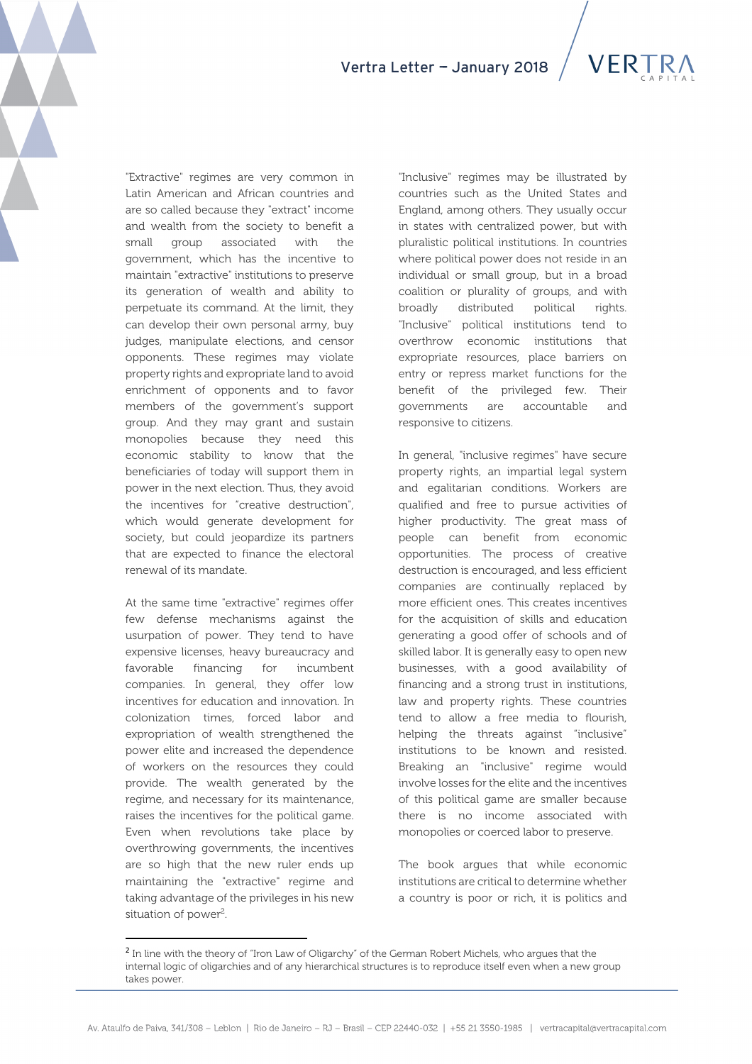"Extractive" regimes are very common in Latin American and African countries and are so called because they "extract" income and wealth from the society to benefit a small group associated with the government, which has the incentive to maintain "extractive" institutions to preserve its generation of wealth and ability to perpetuate its command. At the limit, they can develop their own personal army, buy judges, manipulate elections, and censor opponents. These regimes may violate property rights and expropriate land to avoid enrichment of opponents and to favor members of the government's support group. And they may grant and sustain monopolies because they need this economic stability to know that the beneficiaries of today will support them in power in the next election. Thus, they avoid the incentives for "creative destruction", which would generate development for society, but could jeopardize its partners that are expected to finance the electoral renewal of its mandate.

At the same time "extractive" regimes offer few defense mechanisms against the usurpation of power. They tend to have expensive licenses, heavy bureaucracy and favorable financing for incumbent companies. In general, they offer low incentives for education and innovation. In colonization times, forced labor and expropriation of wealth strengthened the power elite and increased the dependence of workers on the resources they could provide. The wealth generated by the regime, and necessary for its maintenance, raises the incentives for the political game. Even when revolutions take place by overthrowing governments, the incentives are so high that the new ruler ends up maintaining the "extractive" regime and taking advantage of the privileges in his new situation of power<sup>2</sup>.

 $\overline{a}$ 

"Inclusive" regimes may be illustrated by countries such as the United States and England, among others. They usually occur in states with centralized power, but with pluralistic political institutions. In countries where political power does not reside in an individual or small group, but in a broad coalition or plurality of groups, and with broadly distributed political rights. "Inclusive" political institutions tend to overthrow economic institutions that expropriate resources, place barriers on entry or repress market functions for the benefit of the privileged few. Their governments are accountable and responsive to citizens.

In general, "inclusive regimes" have secure property rights, an impartial legal system and egalitarian conditions. Workers are qualified and free to pursue activities of higher productivity. The great mass of people can benefit from economic opportunities. The process of creative destruction is encouraged, and less efficient companies are continually replaced by more efficient ones. This creates incentives for the acquisition of skills and education generating a good offer of schools and of skilled labor. It is generally easy to open new businesses, with a good availability of financing and a strong trust in institutions, law and property rights. These countries tend to allow a free media to flourish, helping the threats against "inclusive" institutions to be known and resisted. Breaking an "inclusive" regime would involve losses for the elite and the incentives of this political game are smaller because there is no income associated with monopolies or coerced labor to preserve.

The book argues that while economic institutions are critical to determine whether a country is poor or rich, it is politics and

<sup>&</sup>lt;sup>2</sup> In line with the theory of "Iron Law of Oligarchy" of the German Robert Michels, who argues that the internal logic of oligarchies and of any hierarchical structures is to reproduce itself even when a new group takes power.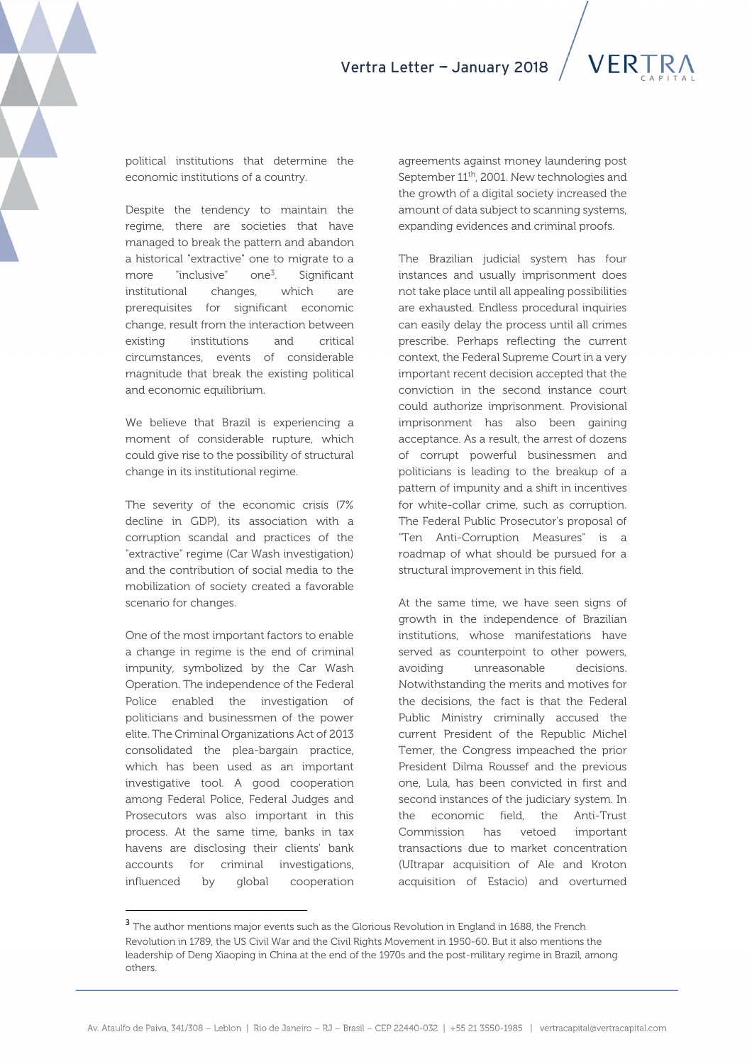political institutions that determine the economic institutions of a country.

Despite the tendency to maintain the regime, there are societies that have managed to break the pattern and abandon a historical "extractive" one to migrate to a more "inclusive" one<sup>3</sup>. . Significant institutional changes, which are prerequisites for significant economic change, result from the interaction between existing institutions and critical circumstances, events of considerable magnitude that break the existing political and economic equilibrium.

We believe that Brazil is experiencing a moment of considerable rupture, which could give rise to the possibility of structural change in its institutional regime.

The severity of the economic crisis (7% decline in GDP), its association with a corruption scandal and practices of the "extractive" regime (Car Wash investigation) and the contribution of social media to the mobilization of society created a favorable scenario for changes.

One of the most important factors to enable a change in regime is the end of criminal impunity, symbolized by the Car Wash Operation. The independence of the Federal Police enabled the investigation of politicians and businessmen of the power elite. The Criminal Organizations Act of 2013 consolidated the plea-bargain practice, which has been used as an important investigative tool. A good cooperation among Federal Police, Federal Judges and Prosecutors was also important in this process. At the same time, banks in tax havens are disclosing their clients' bank accounts for criminal investigations, influenced by global cooperation

 $\overline{a}$ 

agreements against money laundering post September 11<sup>th</sup>, 2001. New technologies and the growth of a digital society increased the amount of data subject to scanning systems, expanding evidences and criminal proofs.

The Brazilian judicial system has four instances and usually imprisonment does not take place until all appealing possibilities are exhausted. Endless procedural inquiries can easily delay the process until all crimes prescribe. Perhaps reflecting the current context, the Federal Supreme Court in a very important recent decision accepted that the conviction in the second instance court could authorize imprisonment. Provisional imprisonment has also been gaining acceptance. As a result, the arrest of dozens of corrupt powerful businessmen and politicians is leading to the breakup of a pattern of impunity and a shift in incentives for white-collar crime, such as corruption. The Federal Public Prosecutor's proposal of "Ten Anti-Corruption Measures" is a roadmap of what should be pursued for a structural improvement in this field.

At the same time, we have seen signs of growth in the independence of Brazilian institutions, whose manifestations have served as counterpoint to other powers, avoiding unreasonable decisions. Notwithstanding the merits and motives for the decisions, the fact is that the Federal Public Ministry criminally accused the current President of the Republic Michel Temer, the Congress impeached the prior President Dilma Roussef and the previous one, Lula, has been convicted in first and second instances of the judiciary system. In the economic field, the Anti-Trust Commission has vetoed important transactions due to market concentration (UItrapar acquisition of Ale and Kroton acquisition of Estacio) and overturned

<sup>&</sup>lt;sup>3</sup> The author mentions major events such as the Glorious Revolution in England in 1688, the French Revolution in 1789, the US Civil War and the Civil Rights Movement in 1950-60. But it also mentions the leadership of Deng Xiaoping in China at the end of the 1970s and the post-military regime in Brazil, among others.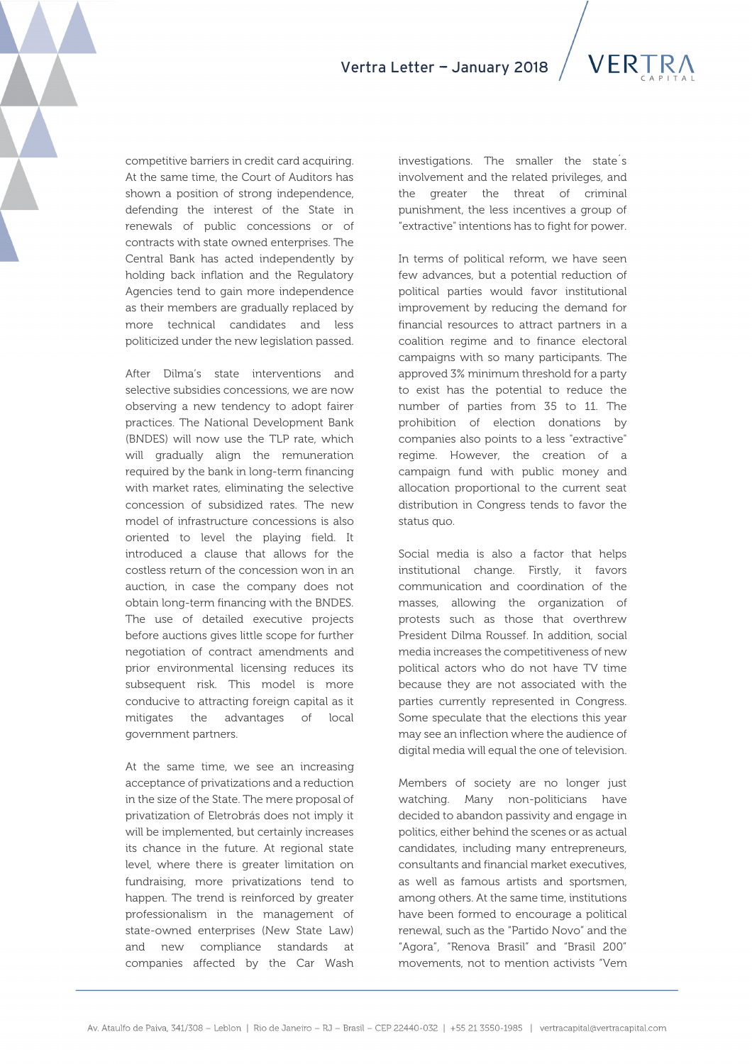

competitive barriers in credit card acquiring. At the same time, the Court of Auditors has shown a position of strong independence, defending the interest of the State in renewals of public concessions or of contracts with state owned enterprises. The Central Bank has acted independently by holding back inflation and the Regulatory Agencies tend to gain more independence as their members are gradually replaced by more technical candidates and less politicized under the new legislation passed.

After Dilma's state interventions and selective subsidies concessions, we are now observing a new tendency to adopt fairer practices. The National Development Bank (BNDES) will now use the TLP rate, which will gradually align the remuneration required by the bank in long-term financing with market rates, eliminating the selective concession of subsidized rates. The new model of infrastructure concessions is also oriented to level the playing field. It introduced a clause that allows for the costless return of the concession won in an auction, in case the company does not obtain long-term financing with the BNDES. The use of detailed executive projects before auctions gives little scope for further negotiation of contract amendments and prior environmental licensing reduces its subsequent risk. This model is more conducive to attracting foreign capital as it mitigates the advantages of local government partners.

At the same time, we see an increasing acceptance of privatizations and a reduction in the size of the State. The mere proposal of privatization of Eletrobrás does not imply it will be implemented, but certainly increases its chance in the future. At regional state level, where there is greater limitation on fundraising, more privatizations tend to happen. The trend is reinforced by greater professionalism in the management of state-owned enterprises (New State Law) and new compliance standards at companies affected by the Car Wash investigations. The smaller the state´s involvement and the related privileges, and the greater the threat of criminal punishment, the less incentives a group of "extractive" intentions has to fight for power.

In terms of political reform, we have seen few advances, but a potential reduction of political parties would favor institutional improvement by reducing the demand for financial resources to attract partners in a coalition regime and to finance electoral campaigns with so many participants. The approved 3% minimum threshold for a party to exist has the potential to reduce the number of parties from 35 to 11. The prohibition of election donations by companies also points to a less "extractive" regime. However, the creation of a campaign fund with public money and allocation proportional to the current seat distribution in Congress tends to favor the status quo.

Social media is also a factor that helps institutional change. Firstly, it favors communication and coordination of the masses, allowing the organization of protests such as those that overthrew President Dilma Roussef. In addition, social media increases the competitiveness of new political actors who do not have TV time because they are not associated with the parties currently represented in Congress. Some speculate that the elections this year may see an inflection where the audience of digital media will equal the one of television.

Members of society are no longer just watching. Many non-politicians have decided to abandon passivity and engage in politics, either behind the scenes or as actual candidates, including many entrepreneurs, consultants and financial market executives, as well as famous artists and sportsmen, among others. At the same time, institutions have been formed to encourage a political renewal, such as the "Partido Novo" and the "Agora", "Renova Brasil" and "Brasil 200" movements, not to mention activists "Vem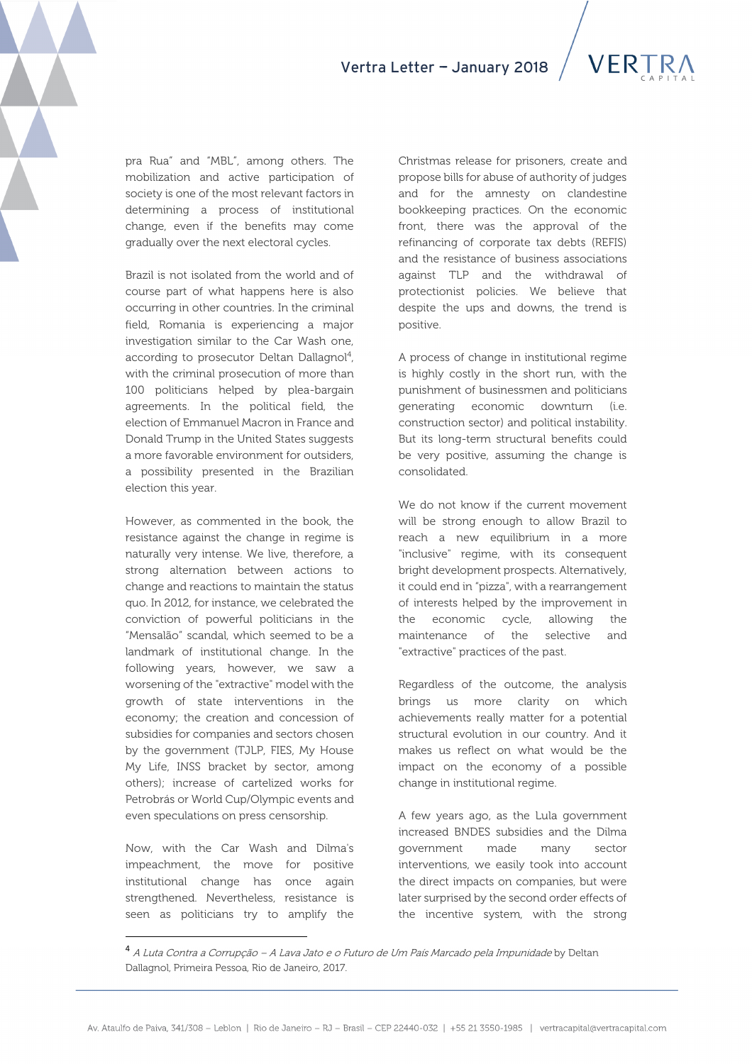



pra Rua" and "MBL", among others. The mobilization and active participation of society is one of the most relevant factors in determining a process of institutional change, even if the benefits may come gradually over the next electoral cycles.

Brazil is not isolated from the world and of course part of what happens here is also occurring in other countries. In the criminal field, Romania is experiencing a major investigation similar to the Car Wash one, according to prosecutor Deltan Dallagnol<sup>4</sup>, with the criminal prosecution of more than 100 politicians helped by plea-bargain agreements. In the political field, the election of Emmanuel Macron in France and Donald Trump in the United States suggests a more favorable environment for outsiders, a possibility presented in the Brazilian election this year.

However, as commented in the book, the resistance against the change in regime is naturally very intense. We live, therefore, a strong alternation between actions to change and reactions to maintain the status quo. In 2012, for instance, we celebrated the conviction of powerful politicians in the "Mensalão" scandal, which seemed to be a landmark of institutional change. In the following years, however, we saw a worsening of the "extractive" model with the growth of state interventions in the economy; the creation and concession of subsidies for companies and sectors chosen by the government (TJLP, FIES, My House My Life, INSS bracket by sector, among others); increase of cartelized works for Petrobrás or World Cup/Olympic events and even speculations on press censorship.

Now, with the Car Wash and Dilma's impeachment, the move for positive institutional change has once again strengthened. Nevertheless, resistance is seen as politicians try to amplify the

l

Christmas release for prisoners, create and propose bills for abuse of authority of judges and for the amnesty on clandestine bookkeeping practices. On the economic front, there was the approval of the refinancing of corporate tax debts (REFIS) and the resistance of business associations against TLP and the withdrawal of protectionist policies. We believe that despite the ups and downs, the trend is positive.

A process of change in institutional regime is highly costly in the short run, with the punishment of businessmen and politicians generating economic downturn (i.e. construction sector) and political instability. But its long-term structural benefits could be very positive, assuming the change is consolidated.

We do not know if the current movement will be strong enough to allow Brazil to reach a new equilibrium in a more "inclusive" regime, with its consequent bright development prospects. Alternatively, it could end in "pizza", with a rearrangement of interests helped by the improvement in the economic cycle, allowing the maintenance of the selective and "extractive" practices of the past.

Regardless of the outcome, the analysis brings us more clarity on which achievements really matter for a potential structural evolution in our country. And it makes us reflect on what would be the impact on the economy of a possible change in institutional regime.

A few years ago, as the Lula government increased BNDES subsidies and the Dilma government made many sector interventions, we easily took into account the direct impacts on companies, but were later surprised by the second order effects of the incentive system, with the strong

<sup>4</sup> A Luta Contra a Corrupção – A Lava Jato e o Futuro de Um País Marcado pela Impunidade by Deltan Dallagnol, Primeira Pessoa, Rio de Janeiro, 2017.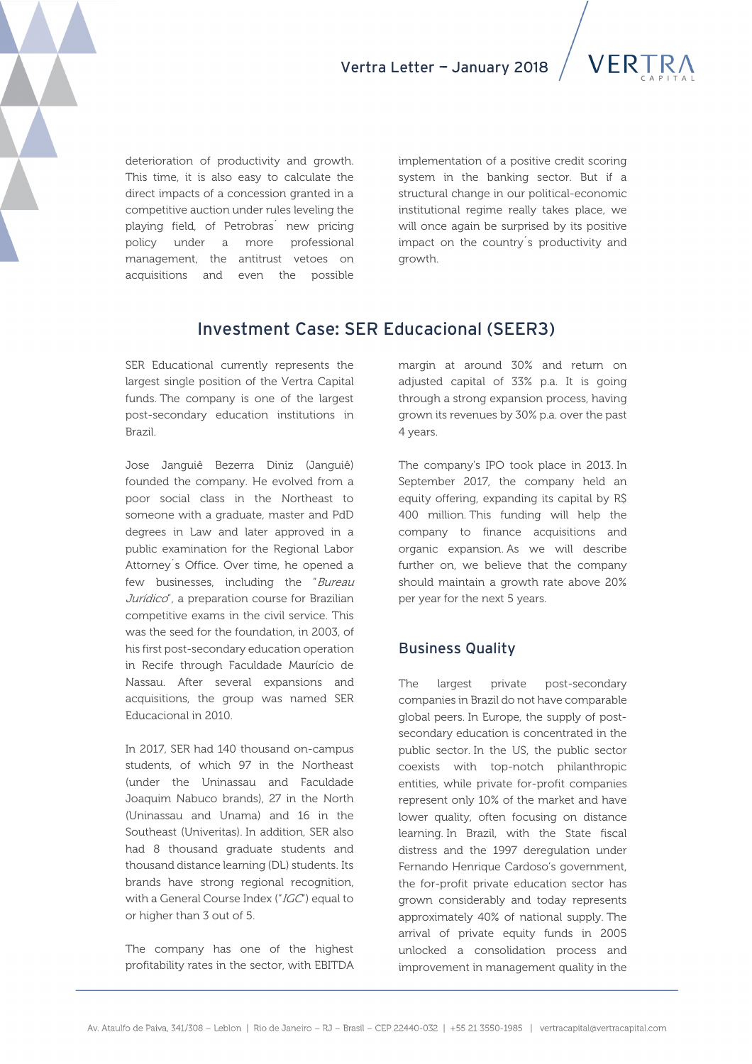



deterioration of productivity and growth. This time, it is also easy to calculate the direct impacts of a concession granted in a competitive auction under rules leveling the playing field, of Petrobras´ new pricing policy under a more professional management, the antitrust vetoes on acquisitions and even the possible

implementation of a positive credit scoring system in the banking sector. But if a structural change in our political-economic institutional regime really takes place, we will once again be surprised by its positive impact on the country´s productivity and growth.

# Investment Case: SER Educacional (SEER3)

SER Educational currently represents the largest single position of the Vertra Capital funds. The company is one of the largest post-secondary education institutions in Brazil.

Jose Janguiê Bezerra Diniz (Janguiê) founded the company. He evolved from a poor social class in the Northeast to someone with a graduate, master and PdD degrees in Law and later approved in a public examination for the Regional Labor Attorney´s Office. Over time, he opened a few businesses, including the "Bureau Jurídico", a preparation course for Brazilian competitive exams in the civil service. This was the seed for the foundation, in 2003, of his first post-secondary education operation in Recife through Faculdade Maurício de Nassau. After several expansions and acquisitions, the group was named SER Educacional in 2010.

In 2017, SER had 140 thousand on-campus students, of which 97 in the Northeast (under the Uninassau and Faculdade Joaquim Nabuco brands), 27 in the North (Uninassau and Unama) and 16 in the Southeast (Univeritas). In addition, SER also had 8 thousand graduate students and thousand distance learning (DL) students. Its brands have strong regional recognition, with a General Course Index ("IGC") equal to or higher than 3 out of 5.

The company has one of the highest profitability rates in the sector, with EBITDA margin at around 30% and return on adjusted capital of 33% p.a. It is going through a strong expansion process, having grown its revenues by 30% p.a. over the past 4 years.

The company's IPO took place in 2013. In September 2017, the company held an equity offering, expanding its capital by R\$ 400 million. This funding will help the company to finance acquisitions and organic expansion. As we will describe further on, we believe that the company should maintain a growth rate above 20% per year for the next 5 years.

### Business Quality

The largest private post-secondary companies in Brazil do not have comparable global peers. In Europe, the supply of postsecondary education is concentrated in the public sector. In the US, the public sector coexists with top-notch philanthropic entities, while private for-profit companies represent only 10% of the market and have lower quality, often focusing on distance learning. In Brazil, with the State fiscal distress and the 1997 deregulation under Fernando Henrique Cardoso's government, the for-profit private education sector has grown considerably and today represents approximately 40% of national supply. The arrival of private equity funds in 2005 unlocked a consolidation process and improvement in management quality in the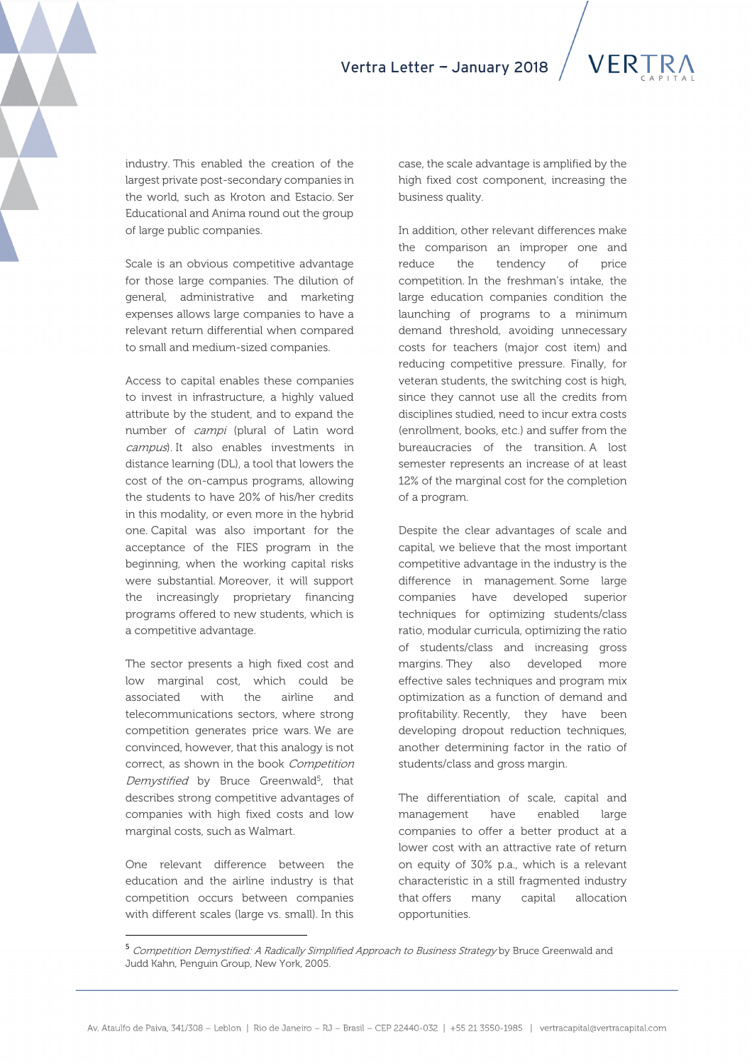industry. This enabled the creation of the largest private post-secondary companies in the world, such as Kroton and Estacio. Ser Educational and Anima round out the group of large public companies.

Scale is an obvious competitive advantage for those large companies. The dilution of general, administrative and marketing expenses allows large companies to have a relevant return differential when compared to small and medium-sized companies.

Access to capital enables these companies to invest in infrastructure, a highly valued attribute by the student, and to expand the number of campi (plural of Latin word campus). It also enables investments in distance learning (DL), a tool that lowers the cost of the on-campus programs, allowing the students to have 20% of his/her credits in this modality, or even more in the hybrid one. Capital was also important for the acceptance of the FIES program in the beginning, when the working capital risks were substantial. Moreover, it will support the increasingly proprietary financing programs offered to new students, which is a competitive advantage.

The sector presents a high fixed cost and low marginal cost, which could be associated with the airline and telecommunications sectors, where strong competition generates price wars. We are convinced, however, that this analogy is not correct, as shown in the book Competition Demystified by Bruce Greenwald<sup>5</sup>, that describes strong competitive advantages of companies with high fixed costs and low marginal costs, such as Walmart.

One relevant difference between the education and the airline industry is that competition occurs between companies with different scales (large vs. small). In this

 $\overline{a}$ 

case, the scale advantage is amplified by the high fixed cost component, increasing the business quality.

In addition, other relevant differences make the comparison an improper one and reduce the tendency of price competition. In the freshman's intake, the large education companies condition the launching of programs to a minimum demand threshold, avoiding unnecessary costs for teachers (major cost item) and reducing competitive pressure. Finally, for veteran students, the switching cost is high, since they cannot use all the credits from disciplines studied, need to incur extra costs (enrollment, books, etc.) and suffer from the bureaucracies of the transition. A lost semester represents an increase of at least 12% of the marginal cost for the completion of a program.

Despite the clear advantages of scale and capital, we believe that the most important competitive advantage in the industry is the difference in management. Some large companies have developed superior techniques for optimizing students/class ratio, modular curricula, optimizing the ratio of students/class and increasing gross margins. They also developed more effective sales techniques and program mix optimization as a function of demand and profitability. Recently, they have been developing dropout reduction techniques, another determining factor in the ratio of students/class and gross margin.

The differentiation of scale, capital and management have enabled large companies to offer a better product at a lower cost with an attractive rate of return on equity of 30% p.a., which is a relevant characteristic in a still fragmented industry that offers many capital allocation opportunities.

<sup>5</sup> Competition Demystified: A Radically Simplified Approach to Business Strategy by Bruce Greenwald and Judd Kahn, Penguin Group, New York, 2005.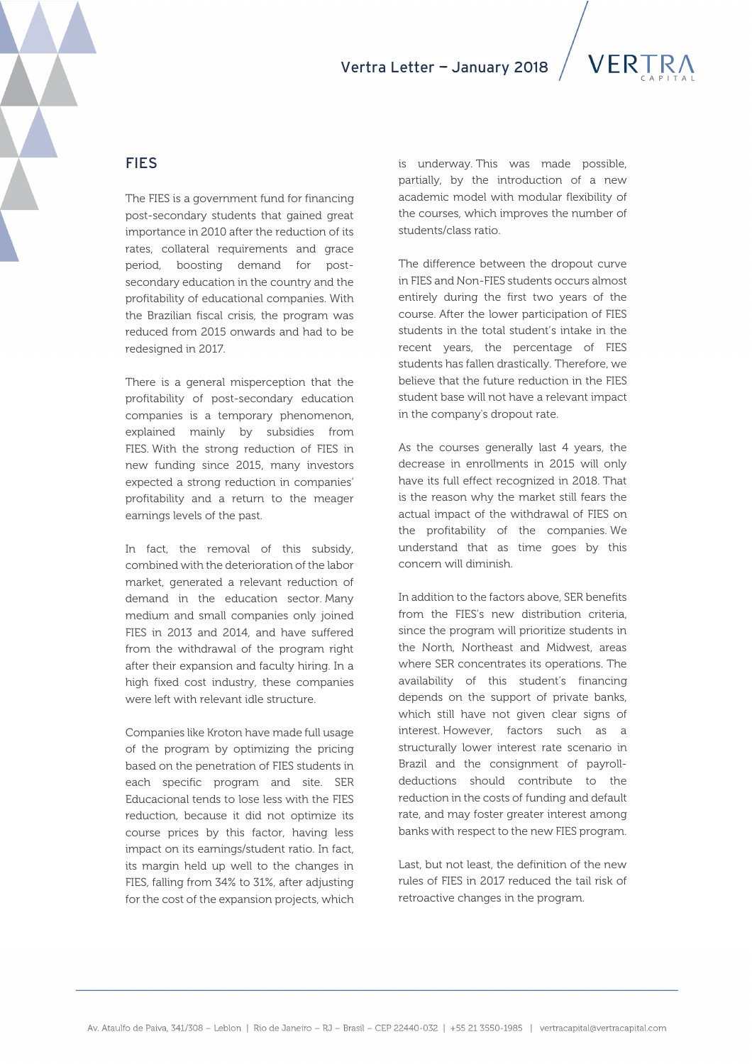

# FIES

The FIES is a government fund for financing post-secondary students that gained great importance in 2010 after the reduction of its rates, collateral requirements and grace period, boosting demand for postsecondary education in the country and the profitability of educational companies. With the Brazilian fiscal crisis, the program was reduced from 2015 onwards and had to be redesigned in 2017.

There is a general misperception that the profitability of post-secondary education companies is a temporary phenomenon, explained mainly by subsidies from FIES. With the strong reduction of FIES in new funding since 2015, many investors expected a strong reduction in companies' profitability and a return to the meager earnings levels of the past.

In fact, the removal of this subsidy, combined with the deterioration of the labor market, generated a relevant reduction of demand in the education sector. Many medium and small companies only joined FIES in 2013 and 2014, and have suffered from the withdrawal of the program right after their expansion and faculty hiring. In a high fixed cost industry, these companies were left with relevant idle structure.

Companies like Kroton have made full usage of the program by optimizing the pricing based on the penetration of FIES students in each specific program and site. SER Educacional tends to lose less with the FIES reduction, because it did not optimize its course prices by this factor, having less impact on its earnings/student ratio. In fact, its margin held up well to the changes in FIES, falling from 34% to 31%, after adjusting for the cost of the expansion projects, which

is underway. This was made possible, partially, by the introduction of a new academic model with modular flexibility of the courses, which improves the number of students/class ratio.

The difference between the dropout curve in FIES and Non-FIES students occurs almost entirely during the first two years of the course. After the lower participation of FIES students in the total student's intake in the recent years, the percentage of FIES students has fallen drastically. Therefore, we believe that the future reduction in the FIES student base will not have a relevant impact in the company's dropout rate.

As the courses generally last 4 years, the decrease in enrollments in 2015 will only have its full effect recognized in 2018. That is the reason why the market still fears the actual impact of the withdrawal of FIES on the profitability of the companies. We understand that as time goes by this concern will diminish.

In addition to the factors above, SER benefits from the FIES's new distribution criteria, since the program will prioritize students in the North, Northeast and Midwest, areas where SER concentrates its operations. The availability of this student's financing depends on the support of private banks, which still have not given clear signs of interest. However, factors such as a structurally lower interest rate scenario in Brazil and the consignment of payrolldeductions should contribute to the reduction in the costs of funding and default rate, and may foster greater interest among banks with respect to the new FIES program.

Last, but not least, the definition of the new rules of FIES in 2017 reduced the tail risk of retroactive changes in the program.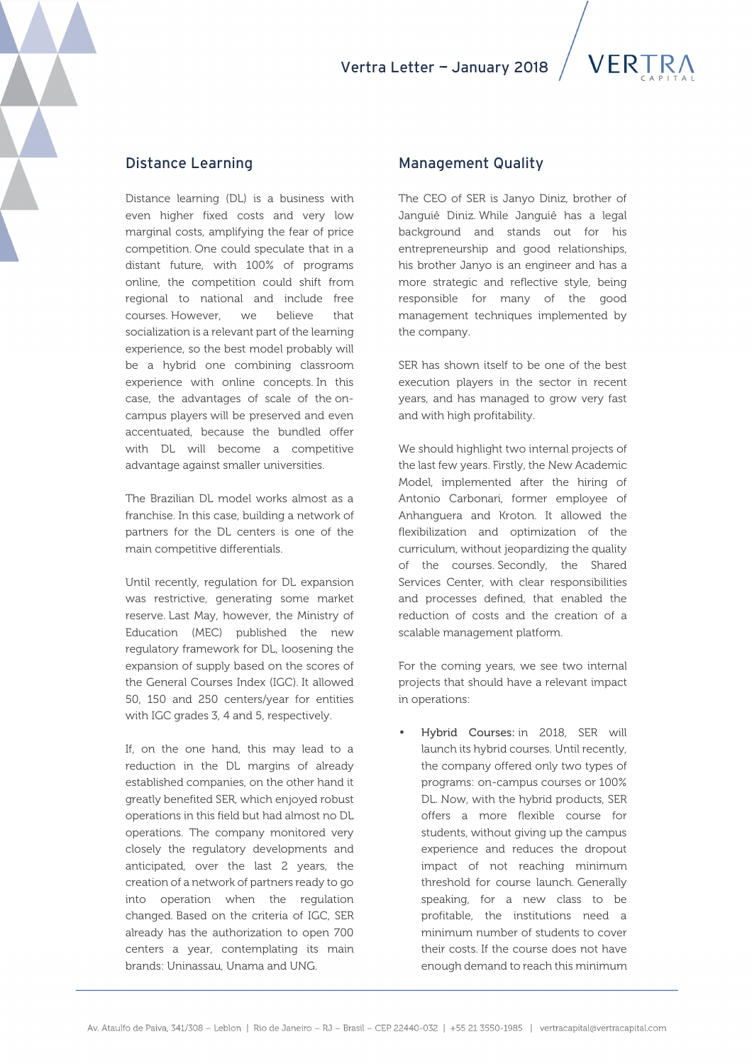

### Distance Learning

Distance learning (DL) is a business with even higher fixed costs and very low marginal costs, amplifying the fear of price competition. One could speculate that in a distant future, with 100% of programs online, the competition could shift from regional to national and include free courses. However, we believe that socialization is a relevant part of the learning experience, so the best model probably will be a hybrid one combining classroom experience with online concepts. In this case, the advantages of scale of the oncampus players will be preserved and even accentuated, because the bundled offer with DL will become a competitive advantage against smaller universities.

The Brazilian DL model works almost as a franchise. In this case, building a network of partners for the DL centers is one of the main competitive differentials.

Until recently, regulation for DL expansion was restrictive, generating some market reserve. Last May, however, the Ministry of Education (MEC) published the new regulatory framework for DL, loosening the expansion of supply based on the scores of the General Courses Index (IGC). It allowed 50, 150 and 250 centers/year for entities with IGC grades 3, 4 and 5, respectively.

If, on the one hand, this may lead to a reduction in the DL margins of already established companies, on the other hand it greatly benefited SER, which enjoyed robust operations in this field but had almost no DL operations. The company monitored very closely the regulatory developments and anticipated, over the last 2 years, the creation of a network of partners ready to go into operation when the regulation changed. Based on the criteria of IGC, SER already has the authorization to open 700 centers a year, contemplating its main brands: Uninassau, Unama and UNG.

### Management Quality

The CEO of SER is Janyo Diniz, brother of Janguiê Diniz. While Janguiê has a legal background and stands out for his entrepreneurship and good relationships, his brother Janyo is an engineer and has a more strategic and reflective style, being responsible for many of the good management techniques implemented by the company.

SER has shown itself to be one of the best execution players in the sector in recent years, and has managed to grow very fast and with high profitability.

We should highlight two internal projects of the last few years. Firstly, the New Academic Model, implemented after the hiring of Antonio Carbonari, former employee of Anhanguera and Kroton. It allowed the flexibilization and optimization of the curriculum, without jeopardizing the quality of the courses. Secondly, the Shared Services Center, with clear responsibilities and processes defined, that enabled the reduction of costs and the creation of a scalable management platform.

For the coming years, we see two internal projects that should have a relevant impact in operations:

• Hybrid Courses: in 2018, SER will launch its hybrid courses. Until recently, the company offered only two types of programs: on-campus courses or 100% DL. Now, with the hybrid products, SER offers a more flexible course for students, without giving up the campus experience and reduces the dropout impact of not reaching minimum threshold for course launch. Generally speaking, for a new class to be profitable, the institutions need a minimum number of students to cover their costs. If the course does not have enough demand to reach this minimum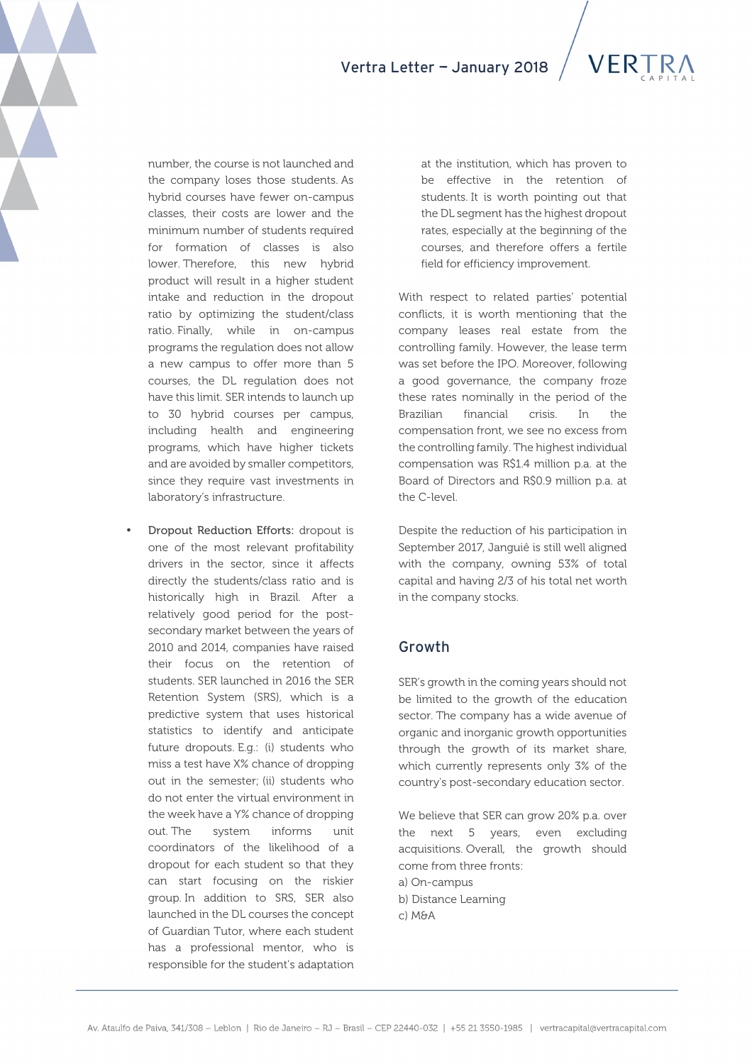

number, the course is not launched and the company loses those students. As hybrid courses have fewer on-campus classes, their costs are lower and the minimum number of students required for formation of classes is also lower. Therefore, this new hybrid product will result in a higher student intake and reduction in the dropout ratio by optimizing the student/class ratio. Finally, while in on-campus programs the regulation does not allow a new campus to offer more than 5 courses, the DL regulation does not have this limit. SER intends to launch up to 30 hybrid courses per campus, including health and engineering programs, which have higher tickets and are avoided by smaller competitors, since they require vast investments in laboratory's infrastructure.

• Dropout Reduction Efforts: dropout is one of the most relevant profitability drivers in the sector, since it affects directly the students/class ratio and is historically high in Brazil. After a relatively good period for the postsecondary market between the years of 2010 and 2014, companies have raised their focus on the retention of students. SER launched in 2016 the SER Retention System (SRS), which is a predictive system that uses historical statistics to identify and anticipate future dropouts. E.g.: (i) students who miss a test have X% chance of dropping out in the semester; (ii) students who do not enter the virtual environment in the week have a Y% chance of dropping out. The system informs unit coordinators of the likelihood of a dropout for each student so that they can start focusing on the riskier group. In addition to SRS, SER also launched in the DL courses the concept of Guardian Tutor, where each student has a professional mentor, who is responsible for the student's adaptation

at the institution, which has proven to be effective in the retention of students. It is worth pointing out that the DL segment has the highest dropout rates, especially at the beginning of the courses, and therefore offers a fertile field for efficiency improvement.

With respect to related parties' potential conflicts, it is worth mentioning that the company leases real estate from the controlling family. However, the lease term was set before the IPO. Moreover, following a good governance, the company froze these rates nominally in the period of the Brazilian financial crisis. In the compensation front, we see no excess from the controlling family. The highest individual compensation was R\$1.4 million p.a. at the Board of Directors and R\$0.9 million p.a. at the C-level.

Despite the reduction of his participation in September 2017, Janguiê is still well aligned with the company, owning 53% of total capital and having 2/3 of his total net worth in the company stocks.

### Growth

SER's growth in the coming years should not be limited to the growth of the education sector. The company has a wide avenue of organic and inorganic growth opportunities through the growth of its market share, which currently represents only 3% of the country's post-secondary education sector.

We believe that SER can grow 20% p.a. over the next 5 years, even excluding acquisitions. Overall, the growth should come from three fronts: a) On-campus b) Distance Learning c) M&A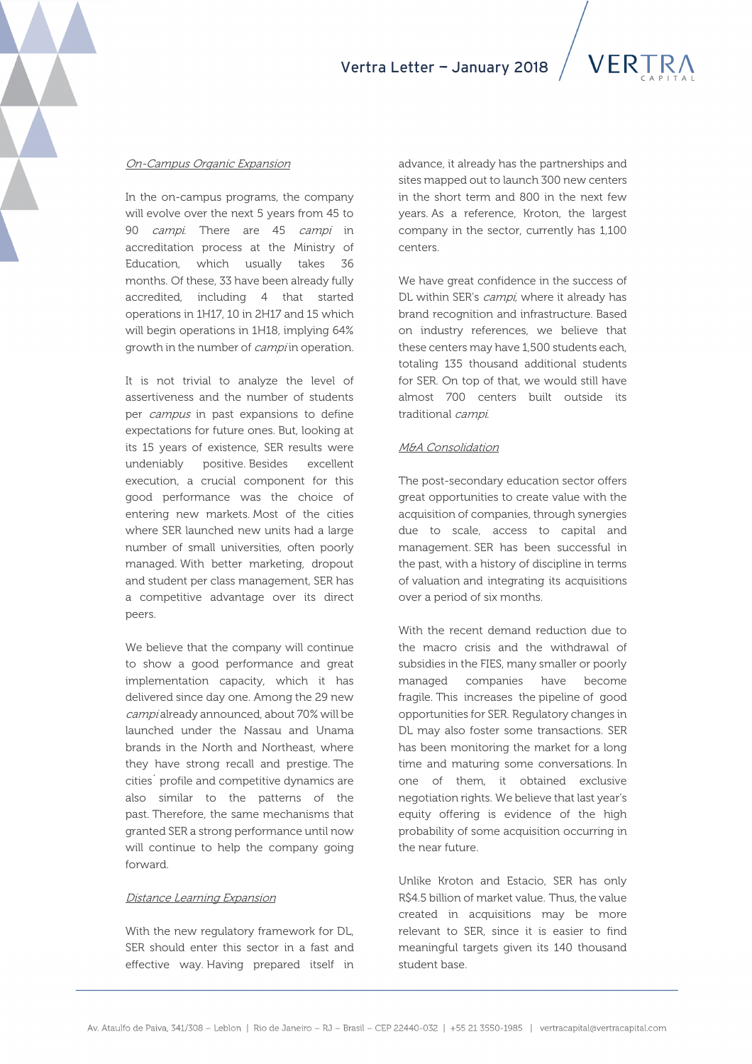

### On-Campus Organic Expansion

In the on-campus programs, the company will evolve over the next 5 years from 45 to 90 *campi*. There are 45 *campi* in accreditation process at the Ministry of Education, which usually takes 36 months. Of these, 33 have been already fully accredited, including 4 that started operations in 1H17, 10 in 2H17 and 15 which will begin operations in 1H18, implying 64% growth in the number of *campi* in operation.

It is not trivial to analyze the level of assertiveness and the number of students per campus in past expansions to define expectations for future ones. But, looking at its 15 years of existence, SER results were undeniably positive. Besides excellent execution, a crucial component for this good performance was the choice of entering new markets. Most of the cities where SER launched new units had a large number of small universities, often poorly managed. With better marketing, dropout and student per class management, SER has a competitive advantage over its direct peers.

We believe that the company will continue to show a good performance and great implementation capacity, which it has delivered since day one. Among the 29 new campi already announced, about 70% will be launched under the Nassau and Unama brands in the North and Northeast, where they have strong recall and prestige. The cities´ profile and competitive dynamics are also similar to the patterns of the past. Therefore, the same mechanisms that granted SER a strong performance until now will continue to help the company going forward.

### Distance Learning Expansion

With the new regulatory framework for DL, SER should enter this sector in a fast and effective way. Having prepared itself in

advance, it already has the partnerships and sites mapped out to launch 300 new centers in the short term and 800 in the next few years. As a reference, Kroton, the largest company in the sector, currently has 1,100 centers.

We have great confidence in the success of DL within SER's *campi*, where it already has brand recognition and infrastructure. Based on industry references, we believe that these centers may have 1,500 students each, totaling 135 thousand additional students for SER. On top of that, we would still have almost 700 centers built outside its traditional campi.

### M&A Consolidation

The post-secondary education sector offers great opportunities to create value with the acquisition of companies, through synergies due to scale, access to capital and management. SER has been successful in the past, with a history of discipline in terms of valuation and integrating its acquisitions over a period of six months.

With the recent demand reduction due to the macro crisis and the withdrawal of subsidies in the FIES, many smaller or poorly managed companies have become fragile. This increases the pipeline of good opportunities for SER. Regulatory changes in DL may also foster some transactions. SER has been monitoring the market for a long time and maturing some conversations. In one of them, it obtained exclusive negotiation rights. We believe that last year's equity offering is evidence of the high probability of some acquisition occurring in the near future.

Unlike Kroton and Estacio, SER has only R\$4.5 billion of market value. Thus, the value created in acquisitions may be more relevant to SER, since it is easier to find meaningful targets given its 140 thousand student base.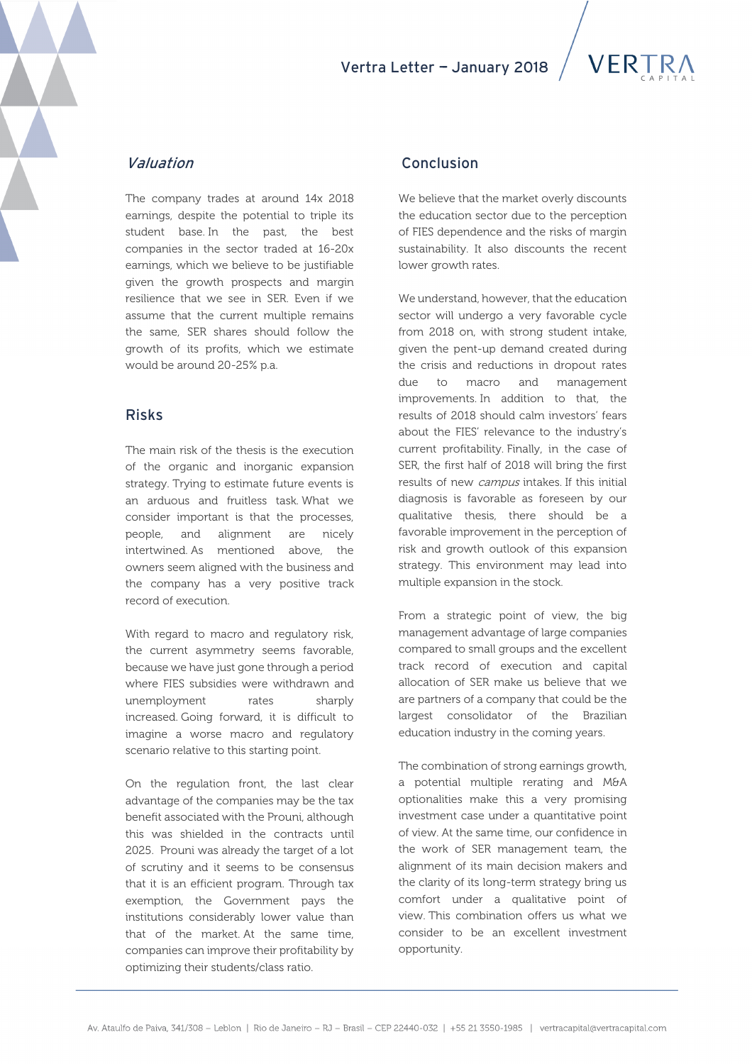# Vertra Letter - January 2018

## Valuation

The company trades at around 14x 2018 earnings, despite the potential to triple its student base. In the past, the best companies in the sector traded at 16-20x earnings, which we believe to be justifiable given the growth prospects and margin resilience that we see in SER. Even if we assume that the current multiple remains the same, SER shares should follow the growth of its profits, which we estimate would be around 20-25% p.a.

### Risks

The main risk of the thesis is the execution of the organic and inorganic expansion strategy. Trying to estimate future events is an arduous and fruitless task. What we consider important is that the processes, people, and alignment are nicely intertwined. As mentioned above, the owners seem aligned with the business and the company has a very positive track record of execution.

With regard to macro and regulatory risk, the current asymmetry seems favorable, because we have just gone through a period where FIES subsidies were withdrawn and unemployment rates sharply increased. Going forward, it is difficult to imagine a worse macro and regulatory scenario relative to this starting point.

On the regulation front, the last clear advantage of the companies may be the tax benefit associated with the Prouni, although this was shielded in the contracts until 2025. Prouni was already the target of a lot of scrutiny and it seems to be consensus that it is an efficient program. Through tax exemption, the Government pays the institutions considerably lower value than that of the market. At the same time, companies can improve their profitability by optimizing their students/class ratio.

## Conclusion

We believe that the market overly discounts the education sector due to the perception of FIES dependence and the risks of margin sustainability. It also discounts the recent lower growth rates.

We understand, however, that the education sector will undergo a very favorable cycle from 2018 on, with strong student intake, given the pent-up demand created during the crisis and reductions in dropout rates due to macro and management improvements. In addition to that, the results of 2018 should calm investors' fears about the FIES' relevance to the industry's current profitability. Finally, in the case of SER, the first half of 2018 will bring the first results of new *campus* intakes. If this initial diagnosis is favorable as foreseen by our qualitative thesis, there should be a favorable improvement in the perception of risk and growth outlook of this expansion strategy. This environment may lead into multiple expansion in the stock.

From a strategic point of view, the big management advantage of large companies compared to small groups and the excellent track record of execution and capital allocation of SER make us believe that we are partners of a company that could be the largest consolidator of the Brazilian education industry in the coming years.

The combination of strong earnings growth, a potential multiple rerating and M&A optionalities make this a very promising investment case under a quantitative point of view. At the same time, our confidence in the work of SER management team, the alignment of its main decision makers and the clarity of its long-term strategy bring us comfort under a qualitative point of view. This combination offers us what we consider to be an excellent investment opportunity.